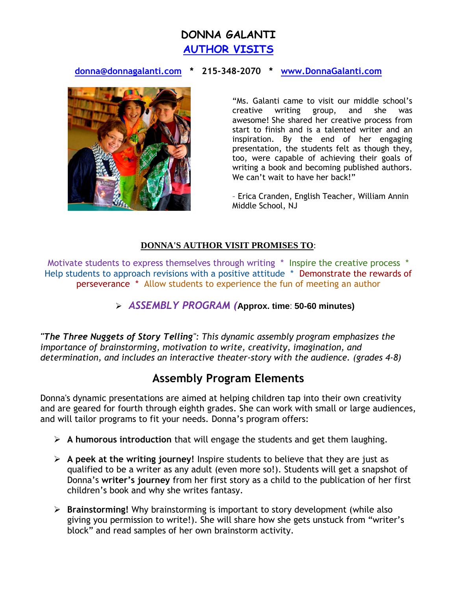# **DONNA GALANTI [AUTHOR VISITS](http://www.donnagalanti.com/news/)**

### **[donna@donnagalanti.com](mailto:donna@donnagalanti.com) \* 215-348-2070 \* [www.DonnaGalanti.com](http://www.donnagalanti.com/)**



"Ms. Galanti came to visit our middle school's creative writing group, and she was awesome! She shared her creative process from start to finish and is a talented writer and an inspiration. By the end of her engaging presentation, the students felt as though they, too, were capable of achieving their goals of writing a book and becoming published authors. We can't wait to have her back!"

– Erica Cranden, English Teacher, William Annin Middle School, NJ

#### **DONNA'S AUTHOR VISIT PROMISES TO**:

Motivate students to express themselves through writing \* Inspire the creative process \* Help students to approach revisions with a positive attitude \* Demonstrate the rewards of perseverance \* Allow students to experience the fun of meeting an author

#### *ASSEMBLY PROGRAM (***Approx. time**: **50-60 minutes)**

*"The Three Nuggets of Story Telling": This dynamic assembly program emphasizes the importance of brainstorming, motivation to write, creativity, imagination, and determination, and includes an interactive theater-story with the audience. (grades 4-8)*

## **Assembly Program Elements**

Donna's dynamic presentations are aimed at helping children tap into their own creativity and are geared for fourth through eighth grades. She can work with small or large audiences, and will tailor programs to fit your needs. Donna's program offers:

- **A humorous introduction** that will engage the students and get them laughing.
- **A peek at the writing journey!** Inspire students to believe that they are just as qualified to be a writer as any adult (even more so!). Students will get a snapshot of Donna's **writer's journey** from her first story as a child to the publication of her first children's book and why she writes fantasy.
- **Brainstorming!** Why brainstorming is important to story development (while also giving you permission to write!). She will share how she gets unstuck from "writer's block" and read samples of her own brainstorm activity.